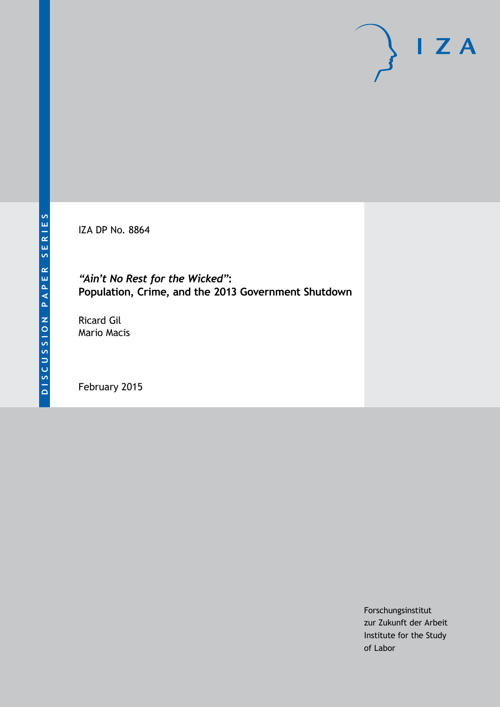IZA DP No. 8864

*"Ain't No Rest for the Wicked"***: Population, Crime, and the 2013 Government Shutdown**

Ricard Gil Mario Macis

February 2015

Forschungsinstitut zur Zukunft der Arbeit Institute for the Study of Labor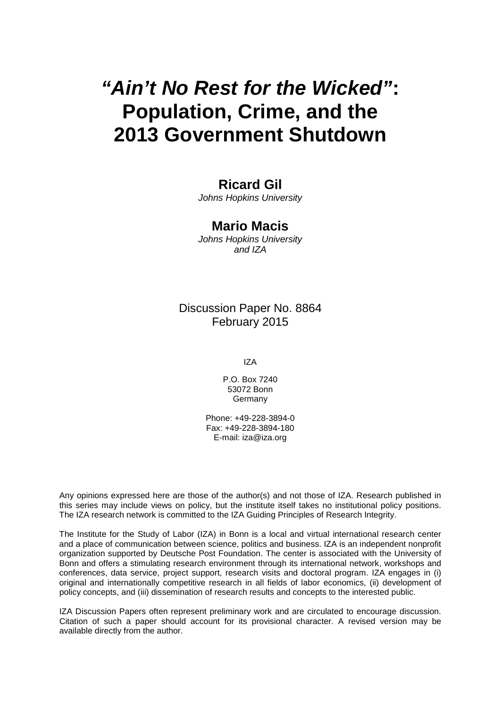# *"Ain't No Rest for the Wicked"***: Population, Crime, and the 2013 Government Shutdown**

## **Ricard Gil**

*Johns Hopkins University*

## **Mario Macis**

*Johns Hopkins University and IZA*

## Discussion Paper No. 8864 February 2015

IZA

P.O. Box 7240 53072 Bonn **Germany** 

Phone: +49-228-3894-0 Fax: +49-228-3894-180 E-mail: [iza@iza.org](mailto:iza@iza.org)

Any opinions expressed here are those of the author(s) and not those of IZA. Research published in this series may include views on policy, but the institute itself takes no institutional policy positions. The IZA research network is committed to the IZA Guiding Principles of Research Integrity.

The Institute for the Study of Labor (IZA) in Bonn is a local and virtual international research center and a place of communication between science, politics and business. IZA is an independent nonprofit organization supported by Deutsche Post Foundation. The center is associated with the University of Bonn and offers a stimulating research environment through its international network, workshops and conferences, data service, project support, research visits and doctoral program. IZA engages in (i) original and internationally competitive research in all fields of labor economics, (ii) development of policy concepts, and (iii) dissemination of research results and concepts to the interested public.

<span id="page-1-0"></span>IZA Discussion Papers often represent preliminary work and are circulated to encourage discussion. Citation of such a paper should account for its provisional character. A revised version may be available directly from the author.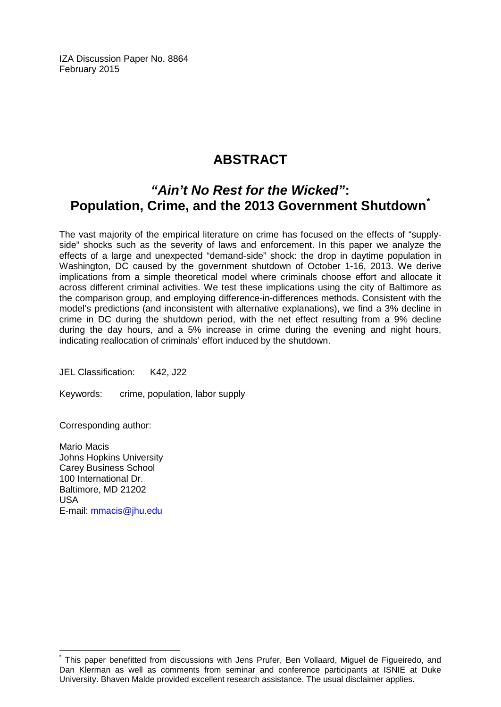IZA Discussion Paper No. 8864 February 2015

# **ABSTRACT**

## *"Ain't No Rest for the Wicked"***: Population, Crime, and the 2013 Government Shutdown[\\*](#page-1-0)**

The vast majority of the empirical literature on crime has focused on the effects of "supplyside" shocks such as the severity of laws and enforcement. In this paper we analyze the effects of a large and unexpected "demand-side" shock: the drop in daytime population in Washington, DC caused by the government shutdown of October 1-16, 2013. We derive implications from a simple theoretical model where criminals choose effort and allocate it across different criminal activities. We test these implications using the city of Baltimore as the comparison group, and employing difference-in-differences methods. Consistent with the model's predictions (and inconsistent with alternative explanations), we find a 3% decline in crime in DC during the shutdown period, with the net effect resulting from a 9% decline during the day hours, and a 5% increase in crime during the evening and night hours, indicating reallocation of criminals' effort induced by the shutdown.

JEL Classification: K42, J22

Keywords: crime, population, labor supply

Corresponding author:

Mario Macis Johns Hopkins University Carey Business School 100 International Dr. Baltimore, MD 21202 USA E-mail: [mmacis@jhu.edu](mailto:mmacis@jhu.edu)

This paper benefitted from discussions with Jens Prufer, Ben Vollaard, Miguel de Figueiredo, and Dan Klerman as well as comments from seminar and conference participants at ISNIE at Duke University. Bhaven Malde provided excellent research assistance. The usual disclaimer applies.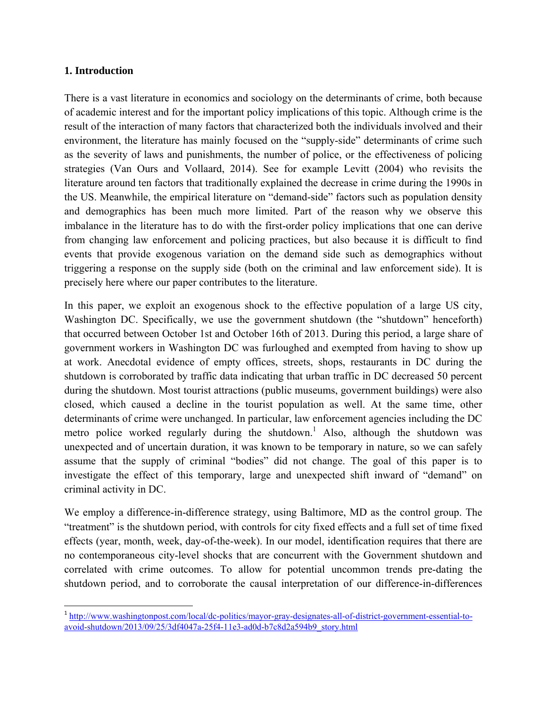#### **1. Introduction**

There is a vast literature in economics and sociology on the determinants of crime, both because of academic interest and for the important policy implications of this topic. Although crime is the result of the interaction of many factors that characterized both the individuals involved and their environment, the literature has mainly focused on the "supply-side" determinants of crime such as the severity of laws and punishments, the number of police, or the effectiveness of policing strategies (Van Ours and Vollaard, 2014). See for example Levitt (2004) who revisits the literature around ten factors that traditionally explained the decrease in crime during the 1990s in the US. Meanwhile, the empirical literature on "demand-side" factors such as population density and demographics has been much more limited. Part of the reason why we observe this imbalance in the literature has to do with the first-order policy implications that one can derive from changing law enforcement and policing practices, but also because it is difficult to find events that provide exogenous variation on the demand side such as demographics without triggering a response on the supply side (both on the criminal and law enforcement side). It is precisely here where our paper contributes to the literature.

In this paper, we exploit an exogenous shock to the effective population of a large US city, Washington DC. Specifically, we use the government shutdown (the "shutdown" henceforth) that occurred between October 1st and October 16th of 2013. During this period, a large share of government workers in Washington DC was furloughed and exempted from having to show up at work. Anecdotal evidence of empty offices, streets, shops, restaurants in DC during the shutdown is corroborated by traffic data indicating that urban traffic in DC decreased 50 percent during the shutdown. Most tourist attractions (public museums, government buildings) were also closed, which caused a decline in the tourist population as well. At the same time, other determinants of crime were unchanged. In particular, law enforcement agencies including the DC metro police worked regularly during the shutdown.<sup>1</sup> Also, although the shutdown was unexpected and of uncertain duration, it was known to be temporary in nature, so we can safely assume that the supply of criminal "bodies" did not change. The goal of this paper is to investigate the effect of this temporary, large and unexpected shift inward of "demand" on criminal activity in DC.

We employ a difference-in-difference strategy, using Baltimore, MD as the control group. The "treatment" is the shutdown period, with controls for city fixed effects and a full set of time fixed effects (year, month, week, day-of-the-week). In our model, identification requires that there are no contemporaneous city-level shocks that are concurrent with the Government shutdown and correlated with crime outcomes. To allow for potential uncommon trends pre-dating the shutdown period, and to corroborate the causal interpretation of our difference-in-differences

<sup>&</sup>lt;sup>1</sup> http://www.washingtonpost.com/local/dc-politics/mayor-gray-designates-all-of-district-government-essential-toavoid-shutdown/2013/09/25/3df4047a-25f4-11e3-ad0d-b7c8d2a594b9\_story.html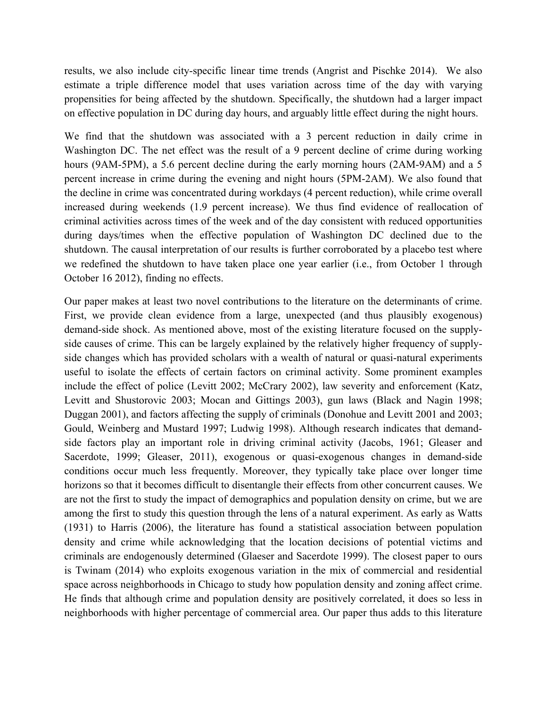results, we also include city-specific linear time trends (Angrist and Pischke 2014). We also estimate a triple difference model that uses variation across time of the day with varying propensities for being affected by the shutdown. Specifically, the shutdown had a larger impact on effective population in DC during day hours, and arguably little effect during the night hours.

We find that the shutdown was associated with a 3 percent reduction in daily crime in Washington DC. The net effect was the result of a 9 percent decline of crime during working hours (9AM-5PM), a 5.6 percent decline during the early morning hours (2AM-9AM) and a 5 percent increase in crime during the evening and night hours (5PM-2AM). We also found that the decline in crime was concentrated during workdays (4 percent reduction), while crime overall increased during weekends (1.9 percent increase). We thus find evidence of reallocation of criminal activities across times of the week and of the day consistent with reduced opportunities during days/times when the effective population of Washington DC declined due to the shutdown. The causal interpretation of our results is further corroborated by a placebo test where we redefined the shutdown to have taken place one year earlier (i.e., from October 1 through October 16 2012), finding no effects.

Our paper makes at least two novel contributions to the literature on the determinants of crime. First, we provide clean evidence from a large, unexpected (and thus plausibly exogenous) demand-side shock. As mentioned above, most of the existing literature focused on the supplyside causes of crime. This can be largely explained by the relatively higher frequency of supplyside changes which has provided scholars with a wealth of natural or quasi-natural experiments useful to isolate the effects of certain factors on criminal activity. Some prominent examples include the effect of police (Levitt 2002; McCrary 2002), law severity and enforcement (Katz, Levitt and Shustorovic 2003; Mocan and Gittings 2003), gun laws (Black and Nagin 1998; Duggan 2001), and factors affecting the supply of criminals (Donohue and Levitt 2001 and 2003; Gould, Weinberg and Mustard 1997; Ludwig 1998). Although research indicates that demandside factors play an important role in driving criminal activity (Jacobs, 1961; Gleaser and Sacerdote, 1999; Gleaser, 2011), exogenous or quasi-exogenous changes in demand-side conditions occur much less frequently. Moreover, they typically take place over longer time horizons so that it becomes difficult to disentangle their effects from other concurrent causes. We are not the first to study the impact of demographics and population density on crime, but we are among the first to study this question through the lens of a natural experiment. As early as Watts (1931) to Harris (2006), the literature has found a statistical association between population density and crime while acknowledging that the location decisions of potential victims and criminals are endogenously determined (Glaeser and Sacerdote 1999). The closest paper to ours is Twinam (2014) who exploits exogenous variation in the mix of commercial and residential space across neighborhoods in Chicago to study how population density and zoning affect crime. He finds that although crime and population density are positively correlated, it does so less in neighborhoods with higher percentage of commercial area. Our paper thus adds to this literature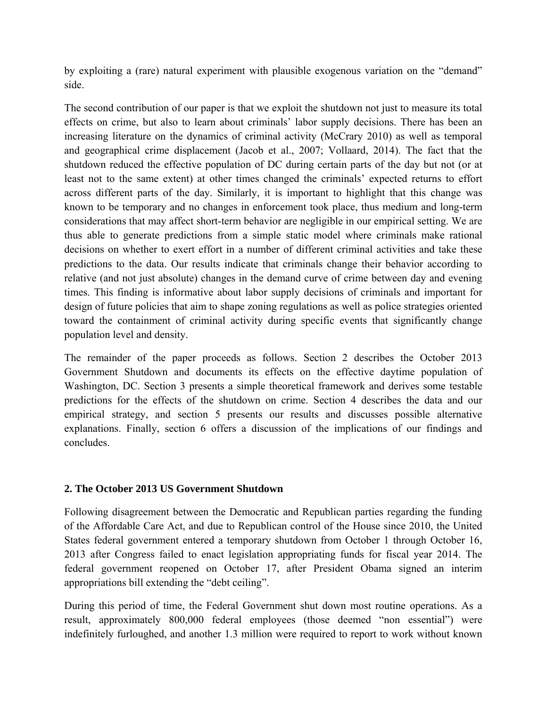by exploiting a (rare) natural experiment with plausible exogenous variation on the "demand" side.

The second contribution of our paper is that we exploit the shutdown not just to measure its total effects on crime, but also to learn about criminals' labor supply decisions. There has been an increasing literature on the dynamics of criminal activity (McCrary 2010) as well as temporal and geographical crime displacement (Jacob et al., 2007; Vollaard, 2014). The fact that the shutdown reduced the effective population of DC during certain parts of the day but not (or at least not to the same extent) at other times changed the criminals' expected returns to effort across different parts of the day. Similarly, it is important to highlight that this change was known to be temporary and no changes in enforcement took place, thus medium and long-term considerations that may affect short-term behavior are negligible in our empirical setting. We are thus able to generate predictions from a simple static model where criminals make rational decisions on whether to exert effort in a number of different criminal activities and take these predictions to the data. Our results indicate that criminals change their behavior according to relative (and not just absolute) changes in the demand curve of crime between day and evening times. This finding is informative about labor supply decisions of criminals and important for design of future policies that aim to shape zoning regulations as well as police strategies oriented toward the containment of criminal activity during specific events that significantly change population level and density.

The remainder of the paper proceeds as follows. Section 2 describes the October 2013 Government Shutdown and documents its effects on the effective daytime population of Washington, DC. Section 3 presents a simple theoretical framework and derives some testable predictions for the effects of the shutdown on crime. Section 4 describes the data and our empirical strategy, and section 5 presents our results and discusses possible alternative explanations. Finally, section 6 offers a discussion of the implications of our findings and concludes.

#### **2. The October 2013 US Government Shutdown**

Following disagreement between the Democratic and Republican parties regarding the funding of the Affordable Care Act, and due to Republican control of the House since 2010, the United States federal government entered a temporary shutdown from October 1 through October 16, 2013 after Congress failed to enact legislation appropriating funds for fiscal year 2014. The federal government reopened on October 17, after President Obama signed an interim appropriations bill extending the "debt ceiling".

During this period of time, the Federal Government shut down most routine operations. As a result, approximately 800,000 federal employees (those deemed "non essential") were indefinitely furloughed, and another 1.3 million were required to report to work without known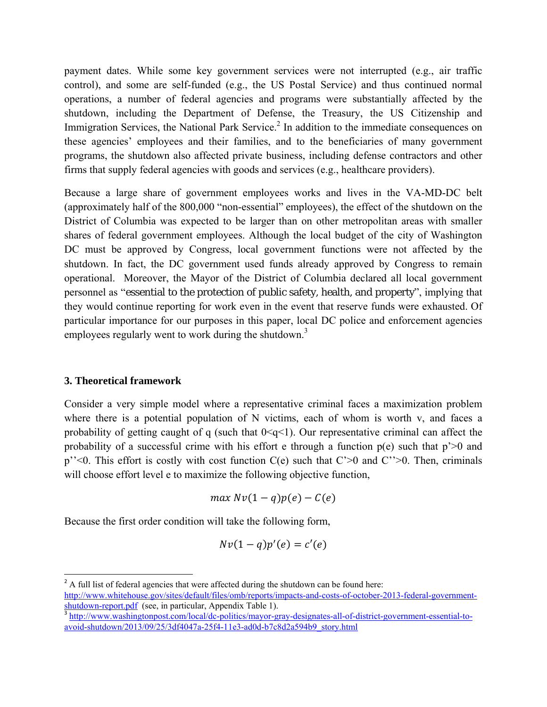payment dates. While some key government services were not interrupted (e.g., air traffic control), and some are self-funded (e.g., the US Postal Service) and thus continued normal operations, a number of federal agencies and programs were substantially affected by the shutdown, including the Department of Defense, the Treasury, the US Citizenship and Immigration Services, the National Park Service.<sup>2</sup> In addition to the immediate consequences on these agencies' employees and their families, and to the beneficiaries of many government programs, the shutdown also affected private business, including defense contractors and other firms that supply federal agencies with goods and services (e.g., healthcare providers).

Because a large share of government employees works and lives in the VA-MD-DC belt (approximately half of the 800,000 "non-essential" employees), the effect of the shutdown on the District of Columbia was expected to be larger than on other metropolitan areas with smaller shares of federal government employees. Although the local budget of the city of Washington DC must be approved by Congress, local government functions were not affected by the shutdown. In fact, the DC government used funds already approved by Congress to remain operational. Moreover, the Mayor of the District of Columbia declared all local government personnel as "essential to the protection of public safety, health, and property", implying that they would continue reporting for work even in the event that reserve funds were exhausted. Of particular importance for our purposes in this paper, local DC police and enforcement agencies employees regularly went to work during the shutdown.<sup>3</sup>

#### **3. Theoretical framework**

Consider a very simple model where a representative criminal faces a maximization problem where there is a potential population of N victims, each of whom is worth v, and faces a probability of getting caught of q (such that  $0 \leq q \leq 1$ ). Our representative criminal can affect the probability of a successful crime with his effort e through a function  $p(e)$  such that  $p' \ge 0$  and p''<0. This effort is costly with cost function C(e) such that C'>0 and C''>0. Then, criminals will choose effort level e to maximize the following objective function,

$$
\max Nv(1-q)p(e) - C(e)
$$

Because the first order condition will take the following form,

$$
Nv(1-q)p'(e)=c'(e)
$$

 $2^2$  A full list of federal agencies that were affected during the shutdown can be found here:

http://www.whitehouse.gov/sites/default/files/omb/reports/impacts-and-costs-of-october-2013-federal-government-<br>shutdown-report.pdf (see, in particular, Appendix Table 1).

shuttp://www.washingtonpost.com/local/dc-politics/mayor-gray-designates-all-of-district-government-essential-toavoid-shutdown/2013/09/25/3df4047a-25f4-11e3-ad0d-b7c8d2a594b9\_story.html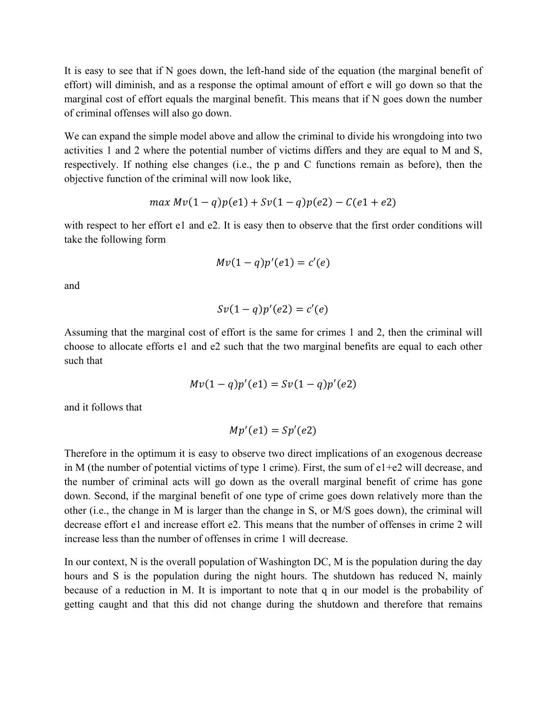It is easy to see that if N goes down, the left-hand side of the equation (the marginal benefit of effort) will diminish, and as a response the optimal amount of effort e will go down so that the marginal cost of effort equals the marginal benefit. This means that if N goes down the number of criminal offenses will also go down.

We can expand the simple model above and allow the criminal to divide his wrongdoing into two activities 1 and 2 where the potential number of victims differs and they are equal to M and S, respectively. If nothing else changes (i.e., the p and C functions remain as before), then the objective function of the criminal will now look like,

$$
\max Mv(1-q)p(e1) + Sv(1-q)p(e2) - C(e1+e2)
$$

with respect to her effort e1 and e2. It is easy then to observe that the first order conditions will take the following form

$$
Mv(1-q)p'(e1) = c'(e)
$$

and

$$
Sv(1-q)p'(e2)=c'(e)
$$

Assuming that the marginal cost of effort is the same for crimes 1 and 2, then the criminal will choose to allocate efforts e1 and e2 such that the two marginal benefits are equal to each other such that

$$
Mv(1-q)p'(e1) = Sv(1-q)p'(e2)
$$

and it follows that

$$
Mp'(e1) = Sp'(e2)
$$

Therefore in the optimum it is easy to observe two direct implications of an exogenous decrease in M (the number of potential victims of type 1 crime). First, the sum of  $e1+e2$  will decrease, and the number of criminal acts will go down as the overall marginal benefit of crime has gone down. Second, if the marginal benefit of one type of crime goes down relatively more than the other (i.e., the change in M is larger than the change in S, or M/S goes down), the criminal will decrease effort e1 and increase effort e2. This means that the number of offenses in crime 2 will increase less than the number of offenses in crime 1 will decrease.

In our context, N is the overall population of Washington DC, M is the population during the day hours and S is the population during the night hours. The shutdown has reduced N, mainly because of a reduction in M. It is important to note that q in our model is the probability of getting caught and that this did not change during the shutdown and therefore that remains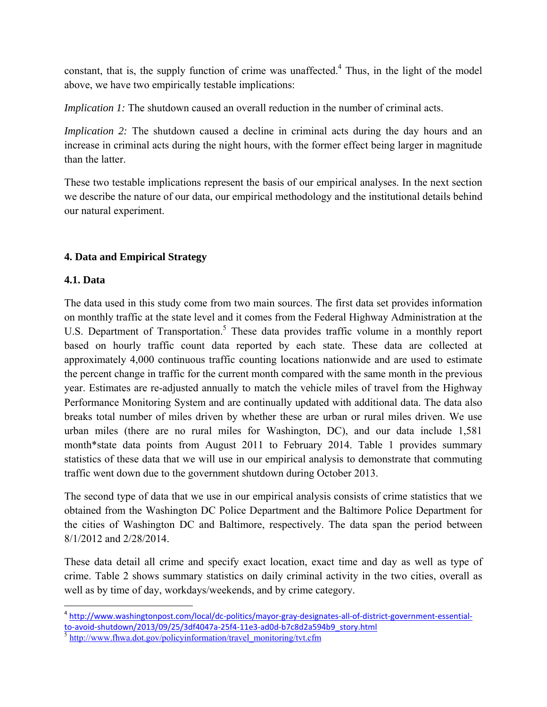constant, that is, the supply function of crime was unaffected.<sup>4</sup> Thus, in the light of the model above, we have two empirically testable implications:

*Implication 1:* The shutdown caused an overall reduction in the number of criminal acts.

*Implication 2:* The shutdown caused a decline in criminal acts during the day hours and an increase in criminal acts during the night hours, with the former effect being larger in magnitude than the latter.

These two testable implications represent the basis of our empirical analyses. In the next section we describe the nature of our data, our empirical methodology and the institutional details behind our natural experiment.

## **4. Data and Empirical Strategy**

## **4.1. Data**

The data used in this study come from two main sources. The first data set provides information on monthly traffic at the state level and it comes from the Federal Highway Administration at the U.S. Department of Transportation.<sup>5</sup> These data provides traffic volume in a monthly report based on hourly traffic count data reported by each state. These data are collected at approximately 4,000 continuous traffic counting locations nationwide and are used to estimate the percent change in traffic for the current month compared with the same month in the previous year. Estimates are re-adjusted annually to match the vehicle miles of travel from the Highway Performance Monitoring System and are continually updated with additional data. The data also breaks total number of miles driven by whether these are urban or rural miles driven. We use urban miles (there are no rural miles for Washington, DC), and our data include 1,581 month\*state data points from August 2011 to February 2014. Table 1 provides summary statistics of these data that we will use in our empirical analysis to demonstrate that commuting traffic went down due to the government shutdown during October 2013.

The second type of data that we use in our empirical analysis consists of crime statistics that we obtained from the Washington DC Police Department and the Baltimore Police Department for the cities of Washington DC and Baltimore, respectively. The data span the period between 8/1/2012 and 2/28/2014.

These data detail all crime and specify exact location, exact time and day as well as type of crime. Table 2 shows summary statistics on daily criminal activity in the two cities, overall as well as by time of day, workdays/weekends, and by crime category.

<sup>&</sup>lt;sup>4</sup> http://www.washingtonpost.com/local/dc-politics/mayor-gray-designates-all-of-district-government-essentialto-avoid-shutdown/2013/09/25/3df4047a-25f4-11e3-ad0d-b7c8d2a594b9\_story.html<br>
<sup>5</sup> http://www.fhwa.dot.gov/policyinformation/travel\_monitoring/tvt.cfm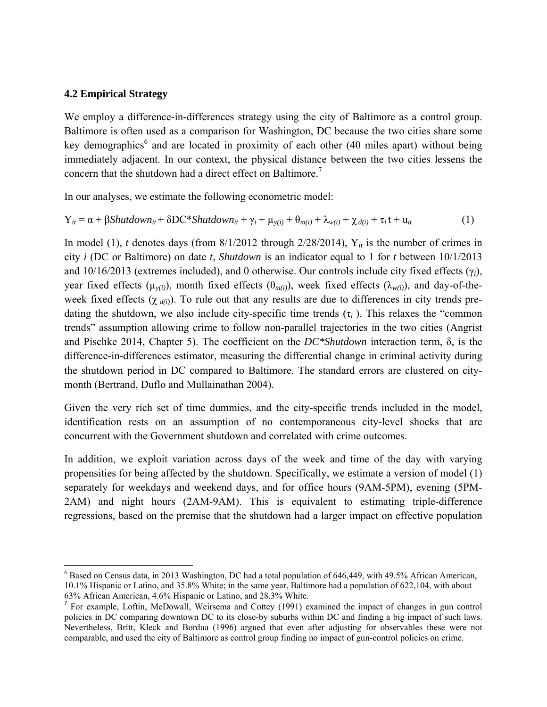#### **4.2 Empirical Strategy**

We employ a difference-in-differences strategy using the city of Baltimore as a control group. Baltimore is often used as a comparison for Washington, DC because the two cities share some key demographics<sup>6</sup> and are located in proximity of each other (40 miles apart) without being immediately adjacent. In our context, the physical distance between the two cities lessens the concern that the shutdown had a direct effect on Baltimore.<sup>7</sup>

In our analyses, we estimate the following econometric model:

$$
Y_{it} = \alpha + \beta \text{Shutdown}_{it} + \delta \text{DC*Shutdown}_{it} + \gamma_i + \mu_{y(i)} + \theta_{m(i)} + \lambda_{w(i)} + \chi_{d(i)} + \tau_i t + u_{it}
$$
 (1)

In model (1), *t* denotes days (from  $8/1/2012$  through 2/28/2014),  $Y_{it}$  is the number of crimes in city *i* (DC or Baltimore) on date *t*, *Shutdown* is an indicator equal to 1 for *t* between 10/1/2013 and 10/16/2013 (extremes included), and 0 otherwise. Our controls include city fixed effects (γ*i*), year fixed effects ( $\mu_{\nu(i)}$ ), month fixed effects ( $\theta_{m(i)}$ ), week fixed effects ( $\lambda_{\nu(i)}$ ), and day-of-theweek fixed effects  $(\chi_{d(i)})$ . To rule out that any results are due to differences in city trends predating the shutdown, we also include city-specific time trends  $(\tau_i)$ . This relaxes the "common trends" assumption allowing crime to follow non-parallel trajectories in the two cities (Angrist and Pischke 2014, Chapter 5). The coefficient on the *DC\*Shutdown* interaction term, δ, is the difference-in-differences estimator, measuring the differential change in criminal activity during the shutdown period in DC compared to Baltimore. The standard errors are clustered on citymonth (Bertrand, Duflo and Mullainathan 2004).

Given the very rich set of time dummies, and the city-specific trends included in the model, identification rests on an assumption of no contemporaneous city-level shocks that are concurrent with the Government shutdown and correlated with crime outcomes.

In addition, we exploit variation across days of the week and time of the day with varying propensities for being affected by the shutdown. Specifically, we estimate a version of model (1) separately for weekdays and weekend days, and for office hours (9AM-5PM), evening (5PM-2AM) and night hours (2AM-9AM). This is equivalent to estimating triple-difference regressions, based on the premise that the shutdown had a larger impact on effective population

 <sup>6</sup> Based on Census data, in 2013 Washington, DC had a total population of 646,449, with 49.5% African American, 10.1% Hispanic or Latino, and 35.8% White; in the same year, Baltimore had a population of 622,104, with about 63% African American, 4.6% Hispanic or Latino, and 28.3% White.

<sup>7</sup> For example, Loftin, McDowall, Weirsema and Cottey (1991) examined the impact of changes in gun control policies in DC comparing downtown DC to its close-by suburbs within DC and finding a big impact of such laws. Nevertheless, Britt, Kleck and Bordua (1996) argued that even after adjusting for observables these were not comparable, and used the city of Baltimore as control group finding no impact of gun-control policies on crime.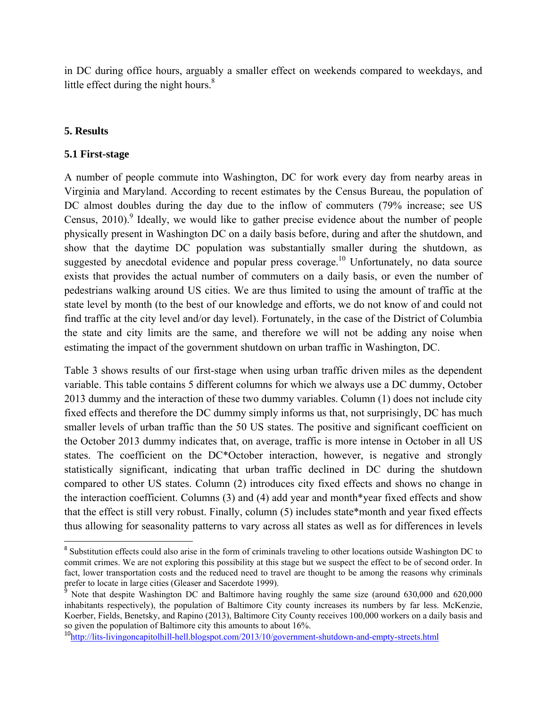in DC during office hours, arguably a smaller effect on weekends compared to weekdays, and little effect during the night hours. $8<sup>8</sup>$ 

#### **5. Results**

#### **5.1 First-stage**

A number of people commute into Washington, DC for work every day from nearby areas in Virginia and Maryland. According to recent estimates by the Census Bureau, the population of DC almost doubles during the day due to the inflow of commuters (79% increase; see US Census,  $2010$ . Ideally, we would like to gather precise evidence about the number of people physically present in Washington DC on a daily basis before, during and after the shutdown, and show that the daytime DC population was substantially smaller during the shutdown, as suggested by anecdotal evidence and popular press coverage.<sup>10</sup> Unfortunately, no data source exists that provides the actual number of commuters on a daily basis, or even the number of pedestrians walking around US cities. We are thus limited to using the amount of traffic at the state level by month (to the best of our knowledge and efforts, we do not know of and could not find traffic at the city level and/or day level). Fortunately, in the case of the District of Columbia the state and city limits are the same, and therefore we will not be adding any noise when estimating the impact of the government shutdown on urban traffic in Washington, DC.

Table 3 shows results of our first-stage when using urban traffic driven miles as the dependent variable. This table contains 5 different columns for which we always use a DC dummy, October 2013 dummy and the interaction of these two dummy variables. Column (1) does not include city fixed effects and therefore the DC dummy simply informs us that, not surprisingly, DC has much smaller levels of urban traffic than the 50 US states. The positive and significant coefficient on the October 2013 dummy indicates that, on average, traffic is more intense in October in all US states. The coefficient on the DC\*October interaction, however, is negative and strongly statistically significant, indicating that urban traffic declined in DC during the shutdown compared to other US states. Column (2) introduces city fixed effects and shows no change in the interaction coefficient. Columns (3) and (4) add year and month\*year fixed effects and show that the effect is still very robust. Finally, column (5) includes state\*month and year fixed effects thus allowing for seasonality patterns to vary across all states as well as for differences in levels

<sup>&</sup>lt;sup>8</sup> Substitution effects could also arise in the form of criminals traveling to other locations outside Washington DC to commit crimes. We are not exploring this possibility at this stage but we suspect the effect to be of second order. In fact, lower transportation costs and the reduced need to travel are thought to be among the reasons why criminals prefer to locate in large cities (Gleaser and Sacerdote 1999).

<sup>&</sup>lt;sup>9</sup> Note that despite Washington DC and Baltimore having roughly the same size (around 630,000 and 620,000 inhabitants respectively), the population of Baltimore City county increases its numbers by far less. McKenzie, Koerber, Fields, Benetsky, and Rapino (2013), Baltimore City County receives 100,000 workers on a daily basis and so given the population of Baltimore city this amounts to about 16%.

<sup>10</sup>http://lits-livingoncapitolhill-hell.blogspot.com/2013/10/government-shutdown-and-empty-streets.html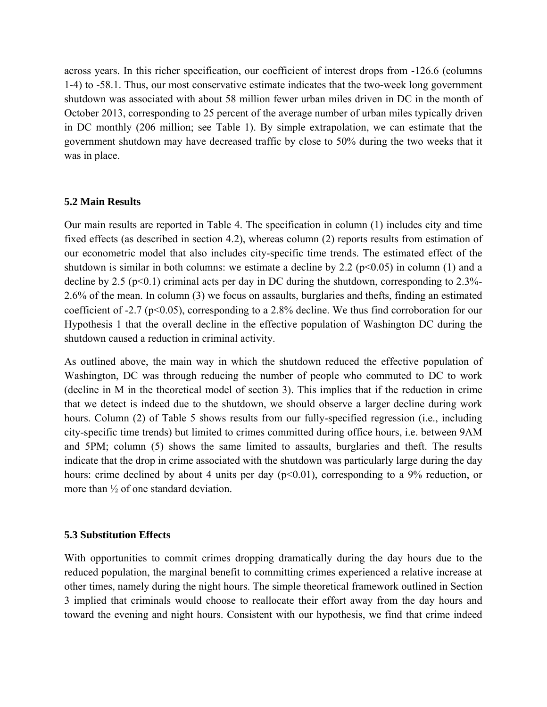across years. In this richer specification, our coefficient of interest drops from -126.6 (columns 1-4) to -58.1. Thus, our most conservative estimate indicates that the two-week long government shutdown was associated with about 58 million fewer urban miles driven in DC in the month of October 2013, corresponding to 25 percent of the average number of urban miles typically driven in DC monthly (206 million; see Table 1). By simple extrapolation, we can estimate that the government shutdown may have decreased traffic by close to 50% during the two weeks that it was in place.

#### **5.2 Main Results**

Our main results are reported in Table 4. The specification in column (1) includes city and time fixed effects (as described in section 4.2), whereas column (2) reports results from estimation of our econometric model that also includes city-specific time trends. The estimated effect of the shutdown is similar in both columns: we estimate a decline by 2.2 ( $p<0.05$ ) in column (1) and a decline by 2.5 ( $p<0.1$ ) criminal acts per day in DC during the shutdown, corresponding to 2.3%-2.6% of the mean. In column (3) we focus on assaults, burglaries and thefts, finding an estimated coefficient of -2.7 (p<0.05), corresponding to a 2.8% decline. We thus find corroboration for our Hypothesis 1 that the overall decline in the effective population of Washington DC during the shutdown caused a reduction in criminal activity.

As outlined above, the main way in which the shutdown reduced the effective population of Washington, DC was through reducing the number of people who commuted to DC to work (decline in M in the theoretical model of section 3). This implies that if the reduction in crime that we detect is indeed due to the shutdown, we should observe a larger decline during work hours. Column (2) of Table 5 shows results from our fully-specified regression (i.e., including city-specific time trends) but limited to crimes committed during office hours, i.e. between 9AM and 5PM; column (5) shows the same limited to assaults, burglaries and theft. The results indicate that the drop in crime associated with the shutdown was particularly large during the day hours: crime declined by about 4 units per day  $(p<0.01)$ , corresponding to a 9% reduction, or more than  $\frac{1}{2}$  of one standard deviation.

#### **5.3 Substitution Effects**

With opportunities to commit crimes dropping dramatically during the day hours due to the reduced population, the marginal benefit to committing crimes experienced a relative increase at other times, namely during the night hours. The simple theoretical framework outlined in Section 3 implied that criminals would choose to reallocate their effort away from the day hours and toward the evening and night hours. Consistent with our hypothesis, we find that crime indeed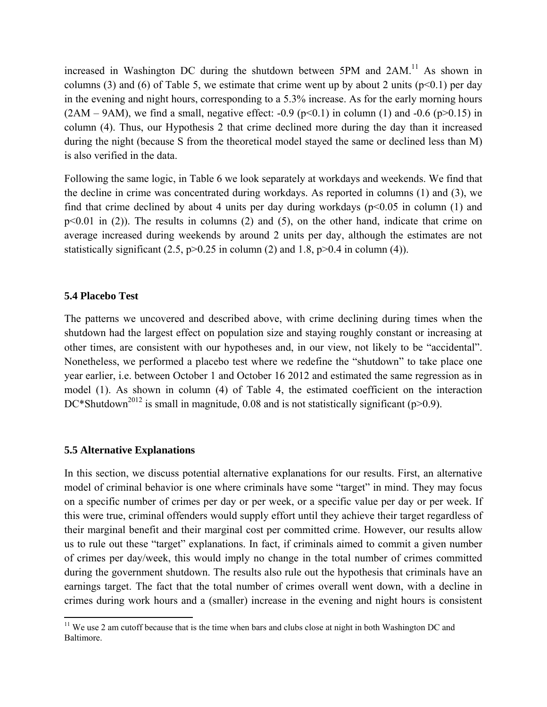increased in Washington DC during the shutdown between 5PM and  $2AM<sup>11</sup>$  As shown in columns (3) and (6) of Table 5, we estimate that crime went up by about 2 units ( $p<0.1$ ) per day in the evening and night hours, corresponding to a 5.3% increase. As for the early morning hours  $(2AM - 9AM)$ , we find a small, negative effect: -0.9 (p<0.1) in column (1) and -0.6 (p>0.15) in column (4). Thus, our Hypothesis 2 that crime declined more during the day than it increased during the night (because S from the theoretical model stayed the same or declined less than M) is also verified in the data.

Following the same logic, in Table 6 we look separately at workdays and weekends. We find that the decline in crime was concentrated during workdays. As reported in columns (1) and (3), we find that crime declined by about 4 units per day during workdays ( $p<0.05$  in column (1) and  $p<0.01$  in (2)). The results in columns (2) and (5), on the other hand, indicate that crime on average increased during weekends by around 2 units per day, although the estimates are not statistically significant  $(2.5, p>0.25$  in column  $(2)$  and 1.8,  $p>0.4$  in column  $(4)$ ).

#### **5.4 Placebo Test**

The patterns we uncovered and described above, with crime declining during times when the shutdown had the largest effect on population size and staying roughly constant or increasing at other times, are consistent with our hypotheses and, in our view, not likely to be "accidental". Nonetheless, we performed a placebo test where we redefine the "shutdown" to take place one year earlier, i.e. between October 1 and October 16 2012 and estimated the same regression as in model (1). As shown in column (4) of Table 4, the estimated coefficient on the interaction DC\*Shutdown<sup>2012</sup> is small in magnitude, 0.08 and is not statistically significant (p>0.9).

#### **5.5 Alternative Explanations**

In this section, we discuss potential alternative explanations for our results. First, an alternative model of criminal behavior is one where criminals have some "target" in mind. They may focus on a specific number of crimes per day or per week, or a specific value per day or per week. If this were true, criminal offenders would supply effort until they achieve their target regardless of their marginal benefit and their marginal cost per committed crime. However, our results allow us to rule out these "target" explanations. In fact, if criminals aimed to commit a given number of crimes per day/week, this would imply no change in the total number of crimes committed during the government shutdown. The results also rule out the hypothesis that criminals have an earnings target. The fact that the total number of crimes overall went down, with a decline in crimes during work hours and a (smaller) increase in the evening and night hours is consistent

 $11$  We use 2 am cutoff because that is the time when bars and clubs close at night in both Washington DC and Baltimore.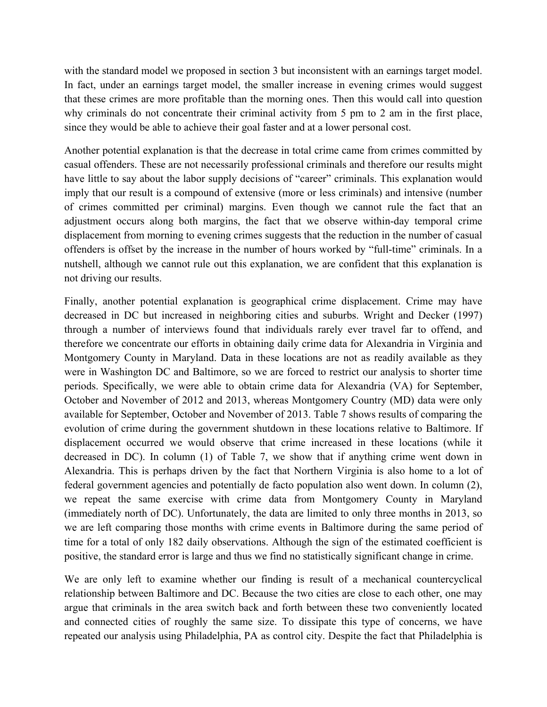with the standard model we proposed in section 3 but inconsistent with an earnings target model. In fact, under an earnings target model, the smaller increase in evening crimes would suggest that these crimes are more profitable than the morning ones. Then this would call into question why criminals do not concentrate their criminal activity from 5 pm to 2 am in the first place, since they would be able to achieve their goal faster and at a lower personal cost.

Another potential explanation is that the decrease in total crime came from crimes committed by casual offenders. These are not necessarily professional criminals and therefore our results might have little to say about the labor supply decisions of "career" criminals. This explanation would imply that our result is a compound of extensive (more or less criminals) and intensive (number of crimes committed per criminal) margins. Even though we cannot rule the fact that an adjustment occurs along both margins, the fact that we observe within-day temporal crime displacement from morning to evening crimes suggests that the reduction in the number of casual offenders is offset by the increase in the number of hours worked by "full-time" criminals. In a nutshell, although we cannot rule out this explanation, we are confident that this explanation is not driving our results.

Finally, another potential explanation is geographical crime displacement. Crime may have decreased in DC but increased in neighboring cities and suburbs. Wright and Decker (1997) through a number of interviews found that individuals rarely ever travel far to offend, and therefore we concentrate our efforts in obtaining daily crime data for Alexandria in Virginia and Montgomery County in Maryland. Data in these locations are not as readily available as they were in Washington DC and Baltimore, so we are forced to restrict our analysis to shorter time periods. Specifically, we were able to obtain crime data for Alexandria (VA) for September, October and November of 2012 and 2013, whereas Montgomery Country (MD) data were only available for September, October and November of 2013. Table 7 shows results of comparing the evolution of crime during the government shutdown in these locations relative to Baltimore. If displacement occurred we would observe that crime increased in these locations (while it decreased in DC). In column (1) of Table 7, we show that if anything crime went down in Alexandria. This is perhaps driven by the fact that Northern Virginia is also home to a lot of federal government agencies and potentially de facto population also went down. In column (2), we repeat the same exercise with crime data from Montgomery County in Maryland (immediately north of DC). Unfortunately, the data are limited to only three months in 2013, so we are left comparing those months with crime events in Baltimore during the same period of time for a total of only 182 daily observations. Although the sign of the estimated coefficient is positive, the standard error is large and thus we find no statistically significant change in crime.

We are only left to examine whether our finding is result of a mechanical countercyclical relationship between Baltimore and DC. Because the two cities are close to each other, one may argue that criminals in the area switch back and forth between these two conveniently located and connected cities of roughly the same size. To dissipate this type of concerns, we have repeated our analysis using Philadelphia, PA as control city. Despite the fact that Philadelphia is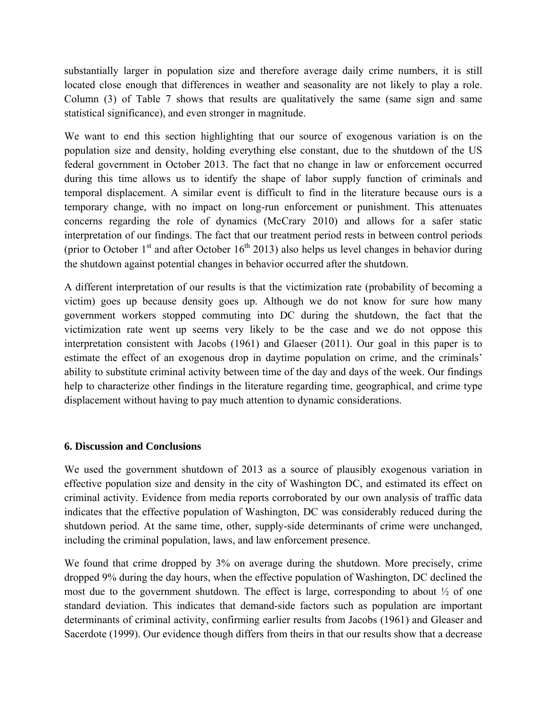substantially larger in population size and therefore average daily crime numbers, it is still located close enough that differences in weather and seasonality are not likely to play a role. Column (3) of Table 7 shows that results are qualitatively the same (same sign and same statistical significance), and even stronger in magnitude.

We want to end this section highlighting that our source of exogenous variation is on the population size and density, holding everything else constant, due to the shutdown of the US federal government in October 2013. The fact that no change in law or enforcement occurred during this time allows us to identify the shape of labor supply function of criminals and temporal displacement. A similar event is difficult to find in the literature because ours is a temporary change, with no impact on long-run enforcement or punishment. This attenuates concerns regarding the role of dynamics (McCrary 2010) and allows for a safer static interpretation of our findings. The fact that our treatment period rests in between control periods (prior to October 1<sup>st</sup> and after October 16<sup>th</sup> 2013) also helps us level changes in behavior during the shutdown against potential changes in behavior occurred after the shutdown.

A different interpretation of our results is that the victimization rate (probability of becoming a victim) goes up because density goes up. Although we do not know for sure how many government workers stopped commuting into DC during the shutdown, the fact that the victimization rate went up seems very likely to be the case and we do not oppose this interpretation consistent with Jacobs (1961) and Glaeser (2011). Our goal in this paper is to estimate the effect of an exogenous drop in daytime population on crime, and the criminals' ability to substitute criminal activity between time of the day and days of the week. Our findings help to characterize other findings in the literature regarding time, geographical, and crime type displacement without having to pay much attention to dynamic considerations.

#### **6. Discussion and Conclusions**

We used the government shutdown of 2013 as a source of plausibly exogenous variation in effective population size and density in the city of Washington DC, and estimated its effect on criminal activity. Evidence from media reports corroborated by our own analysis of traffic data indicates that the effective population of Washington, DC was considerably reduced during the shutdown period. At the same time, other, supply-side determinants of crime were unchanged, including the criminal population, laws, and law enforcement presence.

We found that crime dropped by 3% on average during the shutdown. More precisely, crime dropped 9% during the day hours, when the effective population of Washington, DC declined the most due to the government shutdown. The effect is large, corresponding to about  $\frac{1}{2}$  of one standard deviation. This indicates that demand-side factors such as population are important determinants of criminal activity, confirming earlier results from Jacobs (1961) and Gleaser and Sacerdote (1999). Our evidence though differs from theirs in that our results show that a decrease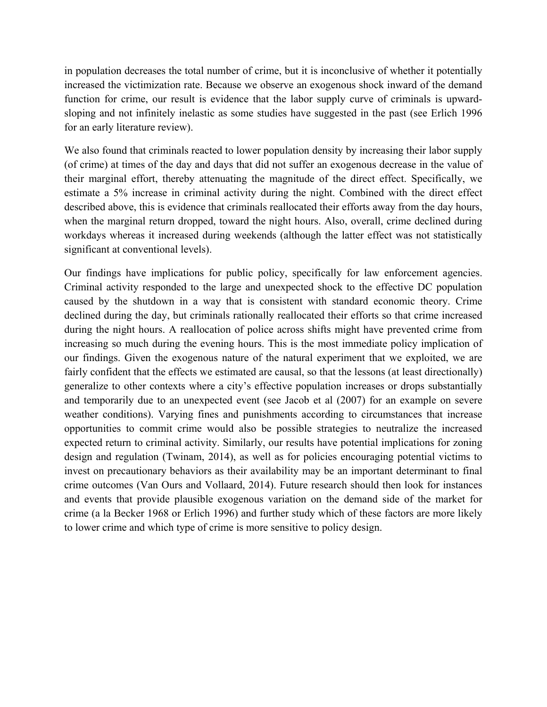in population decreases the total number of crime, but it is inconclusive of whether it potentially increased the victimization rate. Because we observe an exogenous shock inward of the demand function for crime, our result is evidence that the labor supply curve of criminals is upwardsloping and not infinitely inelastic as some studies have suggested in the past (see Erlich 1996 for an early literature review).

We also found that criminals reacted to lower population density by increasing their labor supply (of crime) at times of the day and days that did not suffer an exogenous decrease in the value of their marginal effort, thereby attenuating the magnitude of the direct effect. Specifically, we estimate a 5% increase in criminal activity during the night. Combined with the direct effect described above, this is evidence that criminals reallocated their efforts away from the day hours, when the marginal return dropped, toward the night hours. Also, overall, crime declined during workdays whereas it increased during weekends (although the latter effect was not statistically significant at conventional levels).

Our findings have implications for public policy, specifically for law enforcement agencies. Criminal activity responded to the large and unexpected shock to the effective DC population caused by the shutdown in a way that is consistent with standard economic theory. Crime declined during the day, but criminals rationally reallocated their efforts so that crime increased during the night hours. A reallocation of police across shifts might have prevented crime from increasing so much during the evening hours. This is the most immediate policy implication of our findings. Given the exogenous nature of the natural experiment that we exploited, we are fairly confident that the effects we estimated are causal, so that the lessons (at least directionally) generalize to other contexts where a city's effective population increases or drops substantially and temporarily due to an unexpected event (see Jacob et al (2007) for an example on severe weather conditions). Varying fines and punishments according to circumstances that increase opportunities to commit crime would also be possible strategies to neutralize the increased expected return to criminal activity. Similarly, our results have potential implications for zoning design and regulation (Twinam, 2014), as well as for policies encouraging potential victims to invest on precautionary behaviors as their availability may be an important determinant to final crime outcomes (Van Ours and Vollaard, 2014). Future research should then look for instances and events that provide plausible exogenous variation on the demand side of the market for crime (a la Becker 1968 or Erlich 1996) and further study which of these factors are more likely to lower crime and which type of crime is more sensitive to policy design.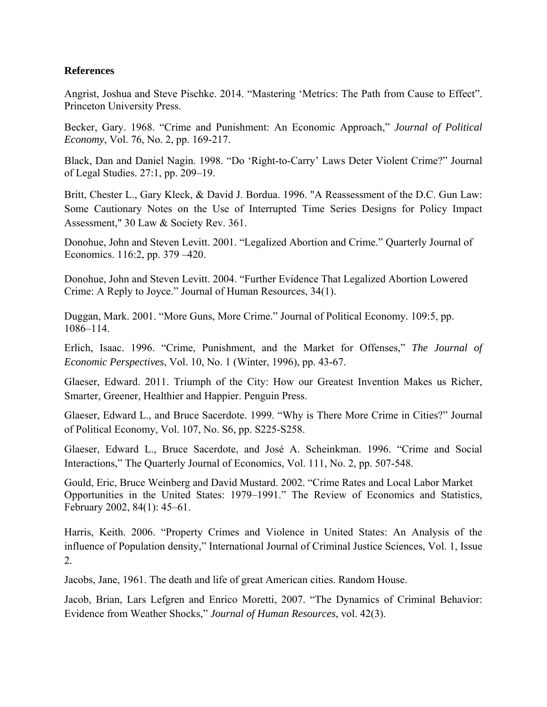#### **References**

Angrist, Joshua and Steve Pischke. 2014. "Mastering 'Metrics: The Path from Cause to Effect". Princeton University Press.

Becker, Gary. 1968. "Crime and Punishment: An Economic Approach," *Journal of Political Economy*, Vol. 76, No. 2, pp. 169-217.

Black, Dan and Daniel Nagin. 1998. "Do 'Right-to-Carry' Laws Deter Violent Crime?" Journal of Legal Studies. 27:1, pp. 209–19.

Britt, Chester L., Gary Kleck, & David J. Bordua. 1996. "A Reassessment of the D.C. Gun Law: Some Cautionary Notes on the Use of Interrupted Time Series Designs for Policy Impact Assessment," 30 Law & Society Rev. 361.

Donohue, John and Steven Levitt. 2001. "Legalized Abortion and Crime." Quarterly Journal of Economics. 116:2, pp. 379 –420.

Donohue, John and Steven Levitt. 2004. "Further Evidence That Legalized Abortion Lowered Crime: A Reply to Joyce." Journal of Human Resources, 34(1).

Duggan, Mark. 2001. "More Guns, More Crime." Journal of Political Economy. 109:5, pp. 1086–114.

Erlich, Isaac. 1996. "Crime, Punishment, and the Market for Offenses," *The Journal of Economic Perspectives*, Vol. 10, No. 1 (Winter, 1996), pp. 43-67.

Glaeser, Edward. 2011. Triumph of the City: How our Greatest Invention Makes us Richer, Smarter, Greener, Healthier and Happier. Penguin Press.

Glaeser, Edward L., and Bruce Sacerdote. 1999. "Why is There More Crime in Cities?" Journal of Political Economy, Vol. 107, No. S6, pp. S225-S258.

Glaeser, Edward L., Bruce Sacerdote, and José A. Scheinkman. 1996. "Crime and Social Interactions," The Quarterly Journal of Economics, Vol. 111, No. 2, pp. 507-548.

Gould, Eric, Bruce Weinberg and David Mustard. 2002. "Crime Rates and Local Labor Market Opportunities in the United States: 1979–1991." The Review of Economics and Statistics, February 2002, 84(1): 45–61.

Harris, Keith. 2006. "Property Crimes and Violence in United States: An Analysis of the influence of Population density," International Journal of Criminal Justice Sciences, Vol. 1, Issue 2.

Jacobs, Jane, 1961. The death and life of great American cities. Random House.

Jacob, Brian, Lars Lefgren and Enrico Moretti, 2007. "The Dynamics of Criminal Behavior: Evidence from Weather Shocks," *Journal of Human Resources*, vol. 42(3).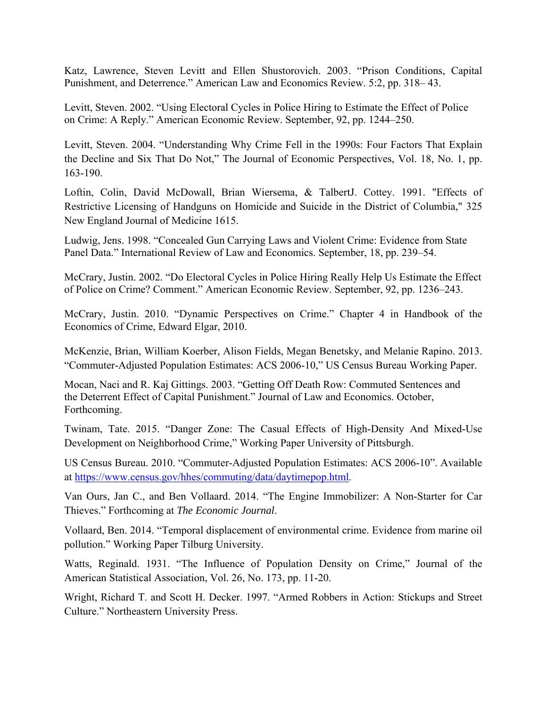Katz, Lawrence, Steven Levitt and Ellen Shustorovich. 2003. "Prison Conditions, Capital Punishment, and Deterrence." American Law and Economics Review. 5:2, pp. 318– 43.

Levitt, Steven. 2002. "Using Electoral Cycles in Police Hiring to Estimate the Effect of Police on Crime: A Reply." American Economic Review. September, 92, pp. 1244–250.

Levitt, Steven. 2004. "Understanding Why Crime Fell in the 1990s: Four Factors That Explain the Decline and Six That Do Not," The Journal of Economic Perspectives, Vol. 18, No. 1, pp. 163-190.

Loftin, Colin, David McDowall, Brian Wiersema, & TalbertJ. Cottey. 1991. "Effects of Restrictive Licensing of Handguns on Homicide and Suicide in the District of Columbia," 325 New England Journal of Medicine 1615.

Ludwig, Jens. 1998. "Concealed Gun Carrying Laws and Violent Crime: Evidence from State Panel Data." International Review of Law and Economics. September, 18, pp. 239–54.

McCrary, Justin. 2002. "Do Electoral Cycles in Police Hiring Really Help Us Estimate the Effect of Police on Crime? Comment." American Economic Review. September, 92, pp. 1236–243.

McCrary, Justin. 2010. "Dynamic Perspectives on Crime." Chapter 4 in Handbook of the Economics of Crime, Edward Elgar, 2010.

McKenzie, Brian, William Koerber, Alison Fields, Megan Benetsky, and Melanie Rapino. 2013. "Commuter-Adjusted Population Estimates: ACS 2006-10," US Census Bureau Working Paper.

Mocan, Naci and R. Kaj Gittings. 2003. "Getting Off Death Row: Commuted Sentences and the Deterrent Effect of Capital Punishment." Journal of Law and Economics. October, Forthcoming.

Twinam, Tate. 2015. "Danger Zone: The Casual Effects of High-Density And Mixed-Use Development on Neighborhood Crime," Working Paper University of Pittsburgh.

US Census Bureau. 2010. "Commuter-Adjusted Population Estimates: ACS 2006-10". Available at https://www.census.gov/hhes/commuting/data/daytimepop.html.

Van Ours, Jan C., and Ben Vollaard. 2014. "The Engine Immobilizer: A Non-Starter for Car Thieves." Forthcoming at *The Economic Journal*.

Vollaard, Ben. 2014. "Temporal displacement of environmental crime. Evidence from marine oil pollution." Working Paper Tilburg University.

Watts, Reginald. 1931. "The Influence of Population Density on Crime," Journal of the American Statistical Association, Vol. 26, No. 173, pp. 11-20.

Wright, Richard T. and Scott H. Decker. 1997. "Armed Robbers in Action: Stickups and Street Culture." Northeastern University Press.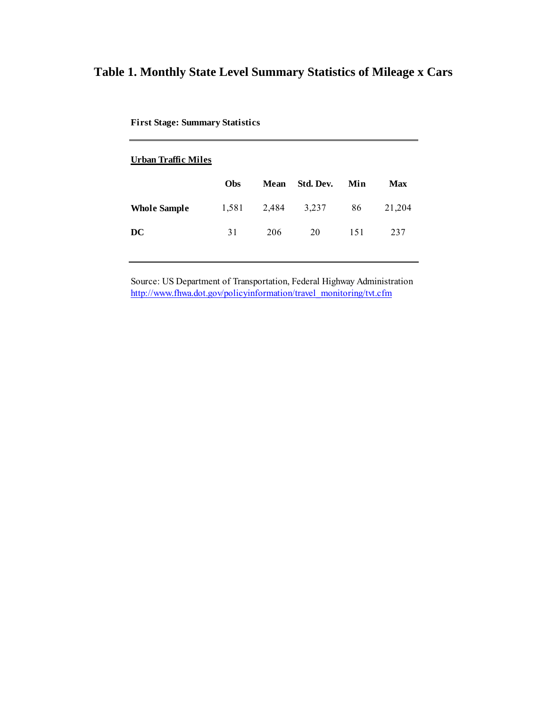# **Table 1. Monthly State Level Summary Statistics of Mileage x Cars**

| Urban Traffic Miles |       |       |           |     |            |
|---------------------|-------|-------|-----------|-----|------------|
|                     | Obs   | Mean  | Std. Dev. | Min | <b>Max</b> |
| <b>Whole Sample</b> | 1,581 | 2,484 | 3,237     | 86  | 21,204     |
| DC                  | 31    | 206   | 20        | 151 | 237        |
|                     |       |       |           |     |            |

**First Stage: Summary Statistics**

Source: US Department of Transportation, Federal Highway Administration http://www.fhwa.dot.gov/policyinformation/travel\_monitoring/tvt.cfm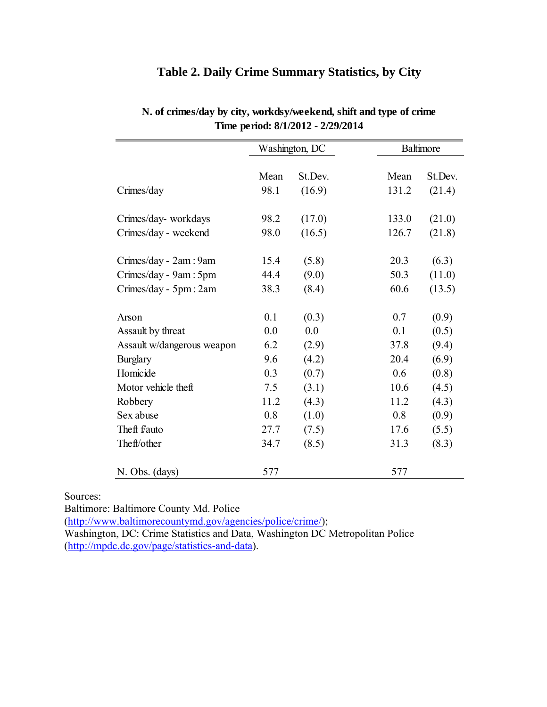# Mean St.Dev. Mean St.Dev. Crimes/day 98.1 (16.9) 131.2 (21.4) Crimes/day- workdays 98.2 (17.0) 133.0 (21.0) Crimes/day - weekend 98.0 (16.5) 126.7 (21.8) Crimes/day - 2am : 9am 15.4 (5.8) 20.3 (6.3) Crimes/day - 9am : 5pm 44.4 (9.0) 50.3 (11.0) Crimes/day - 5pm : 2am 38.3 (8.4) 60.6 (13.5) Arson 0.1 (0.3) 0.7 (0.9) Assault by threat  $0.0 \t 0.0 \t 0.1 \t (0.5)$ Assault w/dangerous weapon 6.2 (2.9) 37.8 (9.4) Burglary 9.6 (4.2) 20.4 (6.9) Homicide 0.3 (0.7) 0.6 (0.8) Motor vehicle theft 7.5 (3.1) 10.6 (4.5) Robbery 11.2 (4.3) 11.2 (4.3) Sex abuse 0.8 (1.0) 0.8 (0.9) Theft f/auto 27.7 (7.5) 17.6 (5.5) Theft/other 34.7 (8.5) 31.3 (8.3) N. Obs. (days) 577 577 Washington, DC Baltimore **Time period: 8/1/2012 - 2/29/2014**

# **N. of crimes/day by city, workdsy/weekend, shift and type of crime**

**Table 2. Daily Crime Summary Statistics, by City** 

Sources:

Baltimore: Baltimore County Md. Police

(http://www.baltimorecountymd.gov/agencies/police/crime/);

Washington, DC: Crime Statistics and Data, Washington DC Metropolitan Police (http://mpdc.dc.gov/page/statistics-and-data).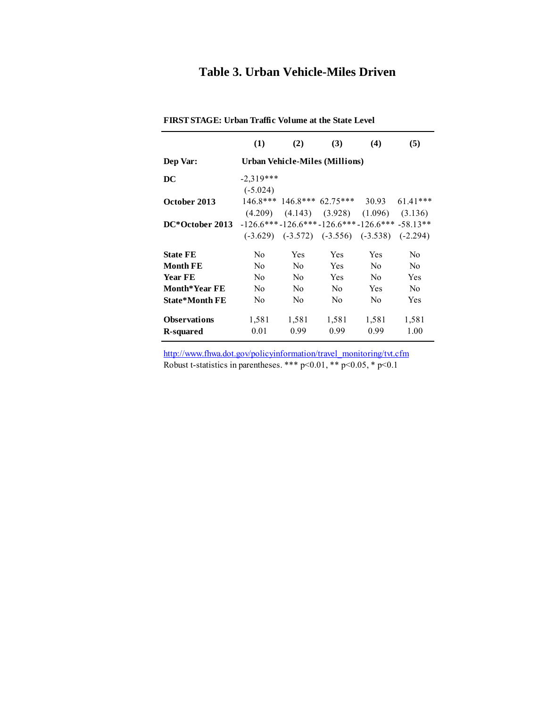## **Table 3. Urban Vehicle-Miles Driven**

|                       | (1)            | (2)            | (3)                                                    | (4)            | (5)            |
|-----------------------|----------------|----------------|--------------------------------------------------------|----------------|----------------|
| Dep Var:              |                |                | Urban Vehicle-Miles (Millions)                         |                |                |
| DC                    | $-2,319***$    |                |                                                        |                |                |
|                       | $(-5.024)$     |                |                                                        |                |                |
| October 2013          |                |                | $146.8***$ $146.8***$ $62.75***$ $30.93$               |                | $61.41***$     |
|                       |                |                | $(4.209)$ $(4.143)$ $(3.928)$ $(1.096)$ $(3.136)$      |                |                |
| DC*October 2013       |                |                | $-126.6***-126.6***-126.6***-126.6***-58.13**$         |                |                |
|                       |                |                | $(-3.629)$ $(-3.572)$ $(-3.556)$ $(-3.538)$ $(-2.294)$ |                |                |
| <b>State FE</b>       | N <sub>0</sub> | Yes            | Yes                                                    | Yes            | N <sub>0</sub> |
| <b>Month FE</b>       | N <sub>0</sub> | N <sub>0</sub> | <b>Yes</b>                                             | N <sub>0</sub> | N <sub>0</sub> |
| <b>Year FE</b>        | N <sub>0</sub> | N <sub>0</sub> | <b>Yes</b>                                             | N <sub>0</sub> | Yes            |
| <b>Month*Year FE</b>  | No.            | N <sub>0</sub> | N <sub>0</sub>                                         | <b>Yes</b>     | N <sub>0</sub> |
| <b>State*Month FE</b> | N <sub>0</sub> | N <sub>0</sub> | N <sub>0</sub>                                         | N <sub>0</sub> | Yes            |
| <b>Observations</b>   | 1,581          | 1,581          | 1,581                                                  | 1,581          | 1,581          |
| <b>R-squared</b>      | 0.01           | 0.99           | 0.99                                                   | 0.99           | 1.00           |

**FIRST STAGE: Urban Traffic Volume at the State Level**

http://www.fhwa.dot.gov/policyinformation/travel\_monitoring/tvt.cfm Robust t-statistics in parentheses. \*\*\*  $p<0.01$ , \*\*  $p<0.05$ , \*  $p<0.1$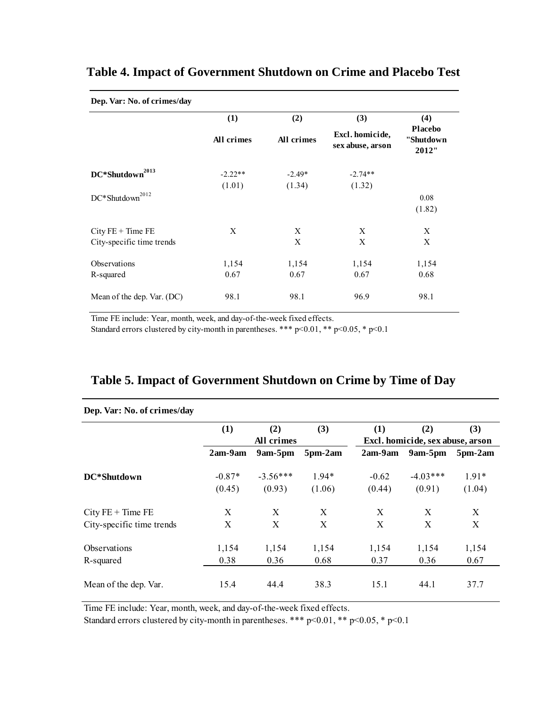| Dep. Var: No. of crimes/day          |            |            |                                     |                                      |  |  |  |
|--------------------------------------|------------|------------|-------------------------------------|--------------------------------------|--|--|--|
|                                      | (1)        | (2)        | (3)                                 | (4)                                  |  |  |  |
|                                      | All crimes | All crimes | Excl. homicide,<br>sex abuse, arson | <b>Placebo</b><br>"Shutdown<br>2012" |  |  |  |
| 2013<br>DC*Shutdown                  | $-2.22**$  | $-2.49*$   | $-2.74**$                           |                                      |  |  |  |
|                                      | (1.01)     | (1.34)     | (1.32)                              |                                      |  |  |  |
| $\operatorname{DC^*Shutdown}^{2012}$ |            |            |                                     | 0.08                                 |  |  |  |
|                                      |            |            |                                     | (1.82)                               |  |  |  |
| $City FE + Time FE$                  | X          | X          | X                                   | X                                    |  |  |  |
| City-specific time trends            |            | X          | X                                   | X                                    |  |  |  |
| Observations                         | 1,154      | 1,154      | 1,154                               | 1,154                                |  |  |  |
| R-squared                            | 0.67       | 0.67       | 0.67                                | 0.68                                 |  |  |  |
| Mean of the dep. Var. (DC)           | 98.1       | 98.1       | 96.9                                | 98.1                                 |  |  |  |

## **Table 4. Impact of Government Shutdown on Crime and Placebo Test**

Time FE include: Year, month, week, and day-of-the-week fixed effects.

Standard errors clustered by city-month in parentheses. \*\*\*  $p<0.01$ , \*\*  $p<0.05$ , \*  $p<0.1$ 

| Table 5. Impact of Government Shutdown on Crime by Time of Day |  |  |  |  |
|----------------------------------------------------------------|--|--|--|--|
|----------------------------------------------------------------|--|--|--|--|

| Dep. Var: No. of crimes/day |          |            |                |         |                                  |                |
|-----------------------------|----------|------------|----------------|---------|----------------------------------|----------------|
|                             | (1)      | (2)        | (3)            | (1)     | (2)                              | (3)            |
|                             |          | All crimes |                |         | Excl. homicide, sex abuse, arson |                |
|                             | 2am-9am  | $9am-5pm$  | $5$ pm- $2$ am | 2am-9am | $9am-5pm$                        | $5$ pm- $2$ am |
| DC*Shutdown                 | $-0.87*$ | $-3.56***$ | $1.94*$        | $-0.62$ | $-4.03***$                       | $1.91*$        |
|                             | (0.45)   | (0.93)     | (1.06)         | (0.44)  | (0.91)                           | (1.04)         |
| $City FE + Time FE$         | X        | X          | X              | X       | X                                | X              |
| City-specific time trends   | Χ        | X          | X              | X       | X                                | X              |
| Observations                | 1,154    | 1,154      | 1,154          | 1,154   | 1,154                            | 1,154          |
| R-squared                   | 0.38     | 0.36       | 0.68           | 0.37    | 0.36                             | 0.67           |
| Mean of the dep. Var.       | 15.4     | 44.4       | 38.3           | 15.1    | 44.1                             | 37.7           |

Time FE include: Year, month, week, and day-of-the-week fixed effects.

Standard errors clustered by city-month in parentheses. \*\*\*  $p<0.01$ , \*\*  $p<0.05$ , \*  $p<0.1$